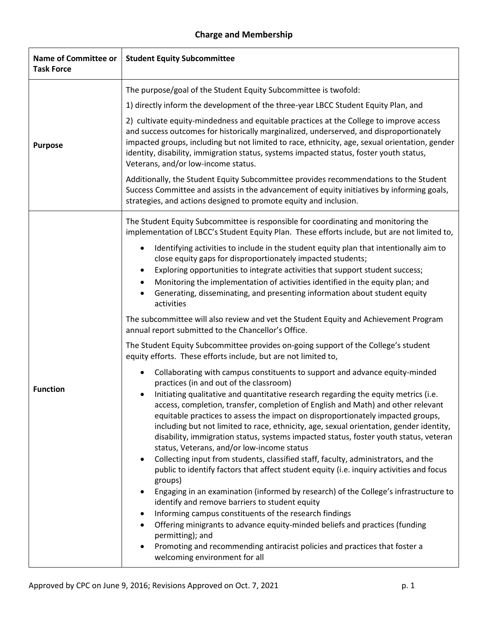## **Charge and Membership**

| <b>Name of Committee or</b><br><b>Task Force</b> | <b>Student Equity Subcommittee</b>                                                                                                                                                                                                                                                                                                                                                                                                                                                                                                                                                                                                                                                                                                                                                                                                                                                                                           |
|--------------------------------------------------|------------------------------------------------------------------------------------------------------------------------------------------------------------------------------------------------------------------------------------------------------------------------------------------------------------------------------------------------------------------------------------------------------------------------------------------------------------------------------------------------------------------------------------------------------------------------------------------------------------------------------------------------------------------------------------------------------------------------------------------------------------------------------------------------------------------------------------------------------------------------------------------------------------------------------|
| <b>Purpose</b>                                   | The purpose/goal of the Student Equity Subcommittee is twofold:                                                                                                                                                                                                                                                                                                                                                                                                                                                                                                                                                                                                                                                                                                                                                                                                                                                              |
|                                                  | 1) directly inform the development of the three-year LBCC Student Equity Plan, and                                                                                                                                                                                                                                                                                                                                                                                                                                                                                                                                                                                                                                                                                                                                                                                                                                           |
|                                                  | 2) cultivate equity-mindedness and equitable practices at the College to improve access<br>and success outcomes for historically marginalized, underserved, and disproportionately<br>impacted groups, including but not limited to race, ethnicity, age, sexual orientation, gender<br>identity, disability, immigration status, systems impacted status, foster youth status,<br>Veterans, and/or low-income status.                                                                                                                                                                                                                                                                                                                                                                                                                                                                                                       |
|                                                  | Additionally, the Student Equity Subcommittee provides recommendations to the Student<br>Success Committee and assists in the advancement of equity initiatives by informing goals,<br>strategies, and actions designed to promote equity and inclusion.                                                                                                                                                                                                                                                                                                                                                                                                                                                                                                                                                                                                                                                                     |
| <b>Function</b>                                  | The Student Equity Subcommittee is responsible for coordinating and monitoring the<br>implementation of LBCC's Student Equity Plan. These efforts include, but are not limited to,                                                                                                                                                                                                                                                                                                                                                                                                                                                                                                                                                                                                                                                                                                                                           |
|                                                  | Identifying activities to include in the student equity plan that intentionally aim to<br>$\bullet$<br>close equity gaps for disproportionately impacted students;<br>Exploring opportunities to integrate activities that support student success;<br>Monitoring the implementation of activities identified in the equity plan; and<br>Generating, disseminating, and presenting information about student equity<br>activities                                                                                                                                                                                                                                                                                                                                                                                                                                                                                            |
|                                                  | The subcommittee will also review and vet the Student Equity and Achievement Program<br>annual report submitted to the Chancellor's Office.                                                                                                                                                                                                                                                                                                                                                                                                                                                                                                                                                                                                                                                                                                                                                                                  |
|                                                  | The Student Equity Subcommittee provides on-going support of the College's student<br>equity efforts. These efforts include, but are not limited to,                                                                                                                                                                                                                                                                                                                                                                                                                                                                                                                                                                                                                                                                                                                                                                         |
|                                                  | Collaborating with campus constituents to support and advance equity-minded<br>$\bullet$<br>practices (in and out of the classroom)                                                                                                                                                                                                                                                                                                                                                                                                                                                                                                                                                                                                                                                                                                                                                                                          |
|                                                  | Initiating qualitative and quantitative research regarding the equity metrics (i.e.<br>access, completion, transfer, completion of English and Math) and other relevant<br>equitable practices to assess the impact on disproportionately impacted groups,<br>including but not limited to race, ethnicity, age, sexual orientation, gender identity,<br>disability, immigration status, systems impacted status, foster youth status, veteran<br>status, Veterans, and/or low-income status<br>Collecting input from students, classified staff, faculty, administrators, and the<br>$\bullet$<br>public to identify factors that affect student equity (i.e. inquiry activities and focus<br>groups)<br>Engaging in an examination (informed by research) of the College's infrastructure to<br>$\bullet$<br>identify and remove barriers to student equity<br>Informing campus constituents of the research findings<br>٠ |
|                                                  | Offering minigrants to advance equity-minded beliefs and practices (funding<br>permitting); and<br>Promoting and recommending antiracist policies and practices that foster a<br>welcoming environment for all                                                                                                                                                                                                                                                                                                                                                                                                                                                                                                                                                                                                                                                                                                               |